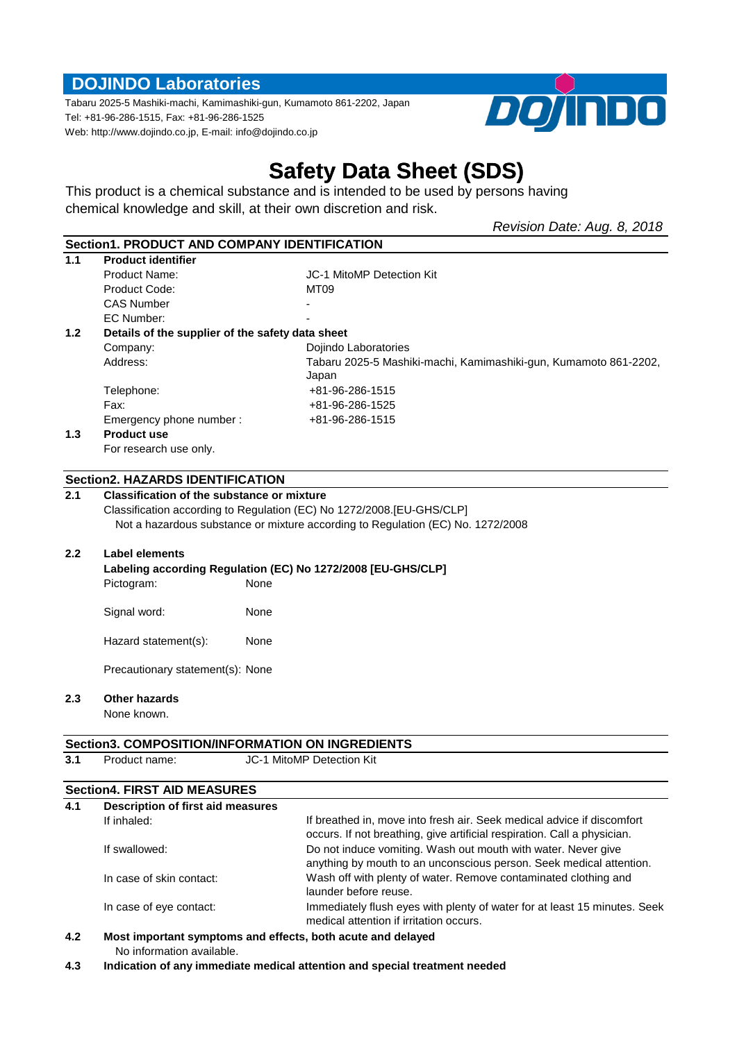# **DOJINDO Laboratories**

Tabaru 2025-5 Mashiki-machi, Kamimashiki-gun, Kumamoto 861-2202, Japan Tel: +81-96-286-1515, Fax: +81-96-286-1525 Web: http://www.dojindo.co.jp, E-mail: info@dojindo.co.jp



# **Safety Data Sheet (SDS)**

This product is a chemical substance and is intended to be used by persons having chemical knowledge and skill, at their own discretion and risk.

*Revision Date: Aug. 8, 2018*

|                  | Section1, PRODUCT AND COMPANY IDENTIFICATION                                                 |                                                                                                                                                    |  |  |  |
|------------------|----------------------------------------------------------------------------------------------|----------------------------------------------------------------------------------------------------------------------------------------------------|--|--|--|
| 1.1              | <b>Product identifier</b>                                                                    |                                                                                                                                                    |  |  |  |
|                  | <b>Product Name:</b>                                                                         | JC-1 MitoMP Detection Kit                                                                                                                          |  |  |  |
|                  | Product Code:                                                                                | MT09                                                                                                                                               |  |  |  |
|                  | <b>CAS Number</b>                                                                            |                                                                                                                                                    |  |  |  |
|                  | EC Number:                                                                                   |                                                                                                                                                    |  |  |  |
| 1.2 <sub>1</sub> | Details of the supplier of the safety data sheet                                             |                                                                                                                                                    |  |  |  |
|                  | Company:                                                                                     | Dojindo Laboratories                                                                                                                               |  |  |  |
|                  | Address:                                                                                     | Tabaru 2025-5 Mashiki-machi, Kamimashiki-gun, Kumamoto 861-2202,                                                                                   |  |  |  |
|                  |                                                                                              | Japan                                                                                                                                              |  |  |  |
|                  | Telephone:                                                                                   | +81-96-286-1515                                                                                                                                    |  |  |  |
|                  | Fax:                                                                                         | +81-96-286-1525                                                                                                                                    |  |  |  |
|                  | Emergency phone number :                                                                     | +81-96-286-1515                                                                                                                                    |  |  |  |
| 1.3              | <b>Product use</b>                                                                           |                                                                                                                                                    |  |  |  |
|                  | For research use only.                                                                       |                                                                                                                                                    |  |  |  |
|                  |                                                                                              |                                                                                                                                                    |  |  |  |
| 2.1              | <b>Section2. HAZARDS IDENTIFICATION</b><br><b>Classification of the substance or mixture</b> |                                                                                                                                                    |  |  |  |
|                  | Classification according to Regulation (EC) No 1272/2008. [EU-GHS/CLP]                       |                                                                                                                                                    |  |  |  |
|                  |                                                                                              |                                                                                                                                                    |  |  |  |
|                  | Not a hazardous substance or mixture according to Regulation (EC) No. 1272/2008              |                                                                                                                                                    |  |  |  |
| 2.2              | <b>Label elements</b>                                                                        |                                                                                                                                                    |  |  |  |
|                  |                                                                                              | Labeling according Regulation (EC) No 1272/2008 [EU-GHS/CLP]                                                                                       |  |  |  |
|                  | Pictogram:                                                                                   | None                                                                                                                                               |  |  |  |
|                  | Signal word:                                                                                 | None                                                                                                                                               |  |  |  |
|                  | Hazard statement(s):                                                                         | None                                                                                                                                               |  |  |  |
|                  | Precautionary statement(s): None                                                             |                                                                                                                                                    |  |  |  |
| 2.3              | <b>Other hazards</b>                                                                         |                                                                                                                                                    |  |  |  |
|                  | None known.                                                                                  |                                                                                                                                                    |  |  |  |
|                  |                                                                                              |                                                                                                                                                    |  |  |  |
|                  |                                                                                              | Section3. COMPOSITION/INFORMATION ON INGREDIENTS                                                                                                   |  |  |  |
| 3.1              | Product name:                                                                                | <b>JC-1 MitoMP Detection Kit</b>                                                                                                                   |  |  |  |
|                  | <b>Section4. FIRST AID MEASURES</b>                                                          |                                                                                                                                                    |  |  |  |
| 4.1              | Description of first aid measures                                                            |                                                                                                                                                    |  |  |  |
|                  | If inhaled:                                                                                  | If breathed in, move into fresh air. Seek medical advice if discomfort<br>occurs. If not breathing, give artificial respiration. Call a physician. |  |  |  |
|                  | If swallowed:                                                                                | Do not induce vomiting. Wash out mouth with water. Never give<br>anything by mouth to an unconscious person. Seek medical attention.               |  |  |  |
|                  | In case of skin contact:                                                                     | Wash off with plenty of water. Remove contaminated clothing and<br>launder before reuse.                                                           |  |  |  |
|                  | In case of eye contact:                                                                      | Immediately flush eyes with plenty of water for at least 15 minutes. Seek<br>medical attention if irritation occurs.                               |  |  |  |

- **4.2 Most important symptoms and effects, both acute and delayed** No information available.
- **4.3 Indication of any immediate medical attention and special treatment needed**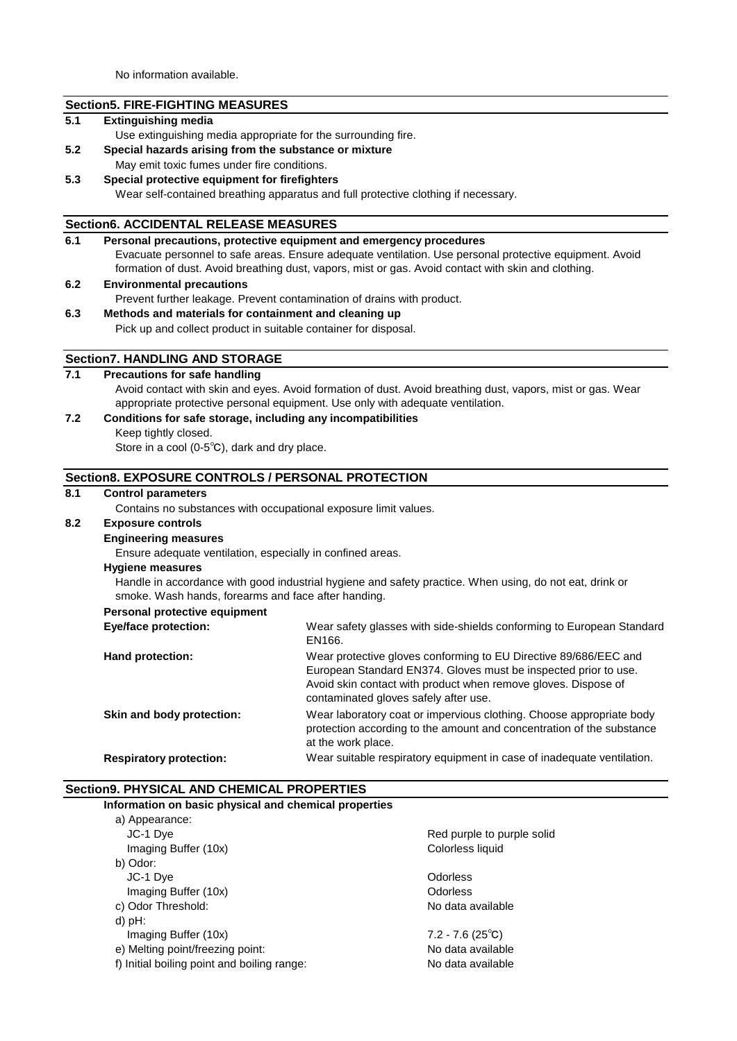No information available.

## **Section5. FIRE-FIGHTING MEASURES**

## **5.1 Extinguishing media**

- Use extinguishing media appropriate for the surrounding fire.
- **5.2 Special hazards arising from the substance or mixture**
- May emit toxic fumes under fire conditions.

#### **5.3 Special protective equipment for firefighters**

Wear self-contained breathing apparatus and full protective clothing if necessary.

#### **Section6. ACCIDENTAL RELEASE MEASURES**

| 6.1 | Personal precautions, protective equipment and emergency procedures                                     |  |
|-----|---------------------------------------------------------------------------------------------------------|--|
|     | Evacuate personnel to safe areas. Ensure adequate ventilation. Use personal protective equipment. Avoid |  |
|     | formation of dust. Avoid breathing dust, vapors, mist or gas. Avoid contact with skin and clothing.     |  |

#### **6.2 Environmental precautions**

Prevent further leakage. Prevent contamination of drains with product.

#### **6.3 Methods and materials for containment and cleaning up**

Pick up and collect product in suitable container for disposal.

## **Section7. HANDLING AND STORAGE**

## **7.1 Precautions for safe handling**

Avoid contact with skin and eyes. Avoid formation of dust. Avoid breathing dust, vapors, mist or gas. Wear appropriate protective personal equipment. Use only with adequate ventilation.

#### **7.2 Conditions for safe storage, including any incompatibilities**

Keep tightly closed.

Store in a cool (0-5℃), dark and dry place.

### **Section8. EXPOSURE CONTROLS / PERSONAL PROTECTION**

#### **8.1 Control parameters**

Contains no substances with occupational exposure limit values.

## **8.2 Exposure controls**

## **Engineering measures**

Ensure adequate ventilation, especially in confined areas.

#### **Hygiene measures**

Handle in accordance with good industrial hygiene and safety practice. When using, do not eat, drink or smoke. Wash hands, forearms and face after handing.

#### **Personal protective equipment**

| Eye/face protection:           | Wear safety glasses with side-shields conforming to European Standard<br>EN166.                                                                                                                                                                |
|--------------------------------|------------------------------------------------------------------------------------------------------------------------------------------------------------------------------------------------------------------------------------------------|
| <b>Hand protection:</b>        | Wear protective gloves conforming to EU Directive 89/686/EEC and<br>European Standard EN374. Gloves must be inspected prior to use.<br>Avoid skin contact with product when remove gloves. Dispose of<br>contaminated gloves safely after use. |
| Skin and body protection:      | Wear laboratory coat or impervious clothing. Choose appropriate body<br>protection according to the amount and concentration of the substance<br>at the work place.                                                                            |
| <b>Respiratory protection:</b> | Wear suitable respiratory equipment in case of inadequate ventilation.                                                                                                                                                                         |

#### **Section9. PHYSICAL AND CHEMICAL PROPERTIES**

| Information on basic physical and chemical properties |                            |
|-------------------------------------------------------|----------------------------|
| a) Appearance:                                        |                            |
| JC-1 Dye                                              | Red purple to purple solid |
| Imaging Buffer (10x)                                  | Colorless liquid           |
| b) Odor:                                              |                            |
| JC-1 Dye                                              | Odorless                   |
| Imaging Buffer (10x)                                  | Odorless                   |
| c) Odor Threshold:                                    | No data available          |
| $d$ ) pH:                                             |                            |
| Imaging Buffer (10x)                                  | $7.2 - 7.6(25^{\circ}C)$   |
| e) Melting point/freezing point:                      | No data available          |
| f) Initial boiling point and boiling range:           | No data available          |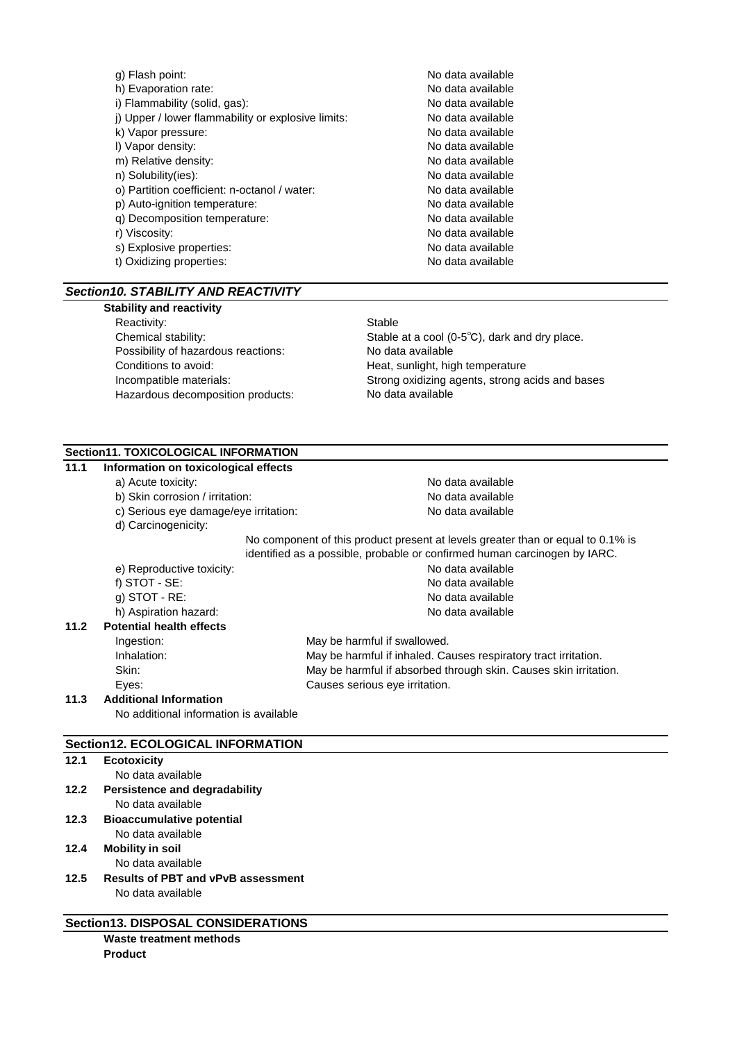| g) Flash point:                                    | No data available |
|----------------------------------------------------|-------------------|
| h) Evaporation rate:                               | No data available |
| i) Flammability (solid, gas):                      | No data available |
| j) Upper / lower flammability or explosive limits: | No data available |
| k) Vapor pressure:                                 | No data available |
| I) Vapor density:                                  | No data available |
| m) Relative density:                               | No data available |
| n) Solubility(ies):                                | No data available |
| o) Partition coefficient: n-octanol / water:       | No data available |
| p) Auto-ignition temperature:                      | No data available |
| q) Decomposition temperature:                      | No data available |
| r) Viscosity:                                      | No data available |
| s) Explosive properties:                           | No data available |
| t) Oxidizing properties:                           | No data available |
|                                                    |                   |

## *Section10. STABILITY AND REACTIVITY*

#### **Stability and reactivity**

Reactivity: Stable Possibility of hazardous reactions: No data available Conditions to avoid: The Conditions to avoid: The Manus Heat, sunlight, high temperature Hazardous decomposition products:

Chemical stability: Stable at a cool (0-5<sup>°</sup>C), dark and dry place. Incompatible materials: Strong oxidizing agents, strong acids and bases No data available

# **Section11. TOXICOLOGICAL INFORMATION**

| Information on toxicological effects     |                                                                                 |  |
|------------------------------------------|---------------------------------------------------------------------------------|--|
| a) Acute toxicity:                       | No data available                                                               |  |
| b) Skin corrosion / irritation:          | No data available                                                               |  |
| c) Serious eye damage/eye irritation:    | No data available                                                               |  |
| d) Carcinogenicity:                      |                                                                                 |  |
|                                          | No component of this product present at levels greater than or equal to 0.1% is |  |
|                                          | identified as a possible, probable or confirmed human carcinogen by IARC.       |  |
| e) Reproductive toxicity:                | No data available                                                               |  |
| f) $STOT - SE$ :                         | No data available                                                               |  |
| g) STOT - $RE:$                          | No data available                                                               |  |
| h) Aspiration hazard:                    | No data available                                                               |  |
| <b>Potential health effects</b>          |                                                                                 |  |
| Ingestion:                               | May be harmful if swallowed.                                                    |  |
| Inhalation:                              | May be harmful if inhaled. Causes respiratory tract irritation.                 |  |
| Skin:                                    | May be harmful if absorbed through skin. Causes skin irritation.                |  |
| Eyes:                                    | Causes serious eye irritation.                                                  |  |
| <b>Additional Information</b>            |                                                                                 |  |
| No additional information is available   |                                                                                 |  |
|                                          |                                                                                 |  |
| <b>Section12. ECOLOGICAL INFORMATION</b> |                                                                                 |  |
|                                          |                                                                                 |  |

## **12.1 Ecotoxicity**

- No data available
- **12.2 Persistence and degradability** No data available **12.3 Bioaccumulative potential**

# No data available

- **12.4 Mobility in soil**
	- No data available
- **12.5 Results of PBT and vPvB assessment** No data available

| <b>Section13. DISPOSAL CONSIDERATIONS</b> |
|-------------------------------------------|
| Waste treatment methods                   |

**Product**